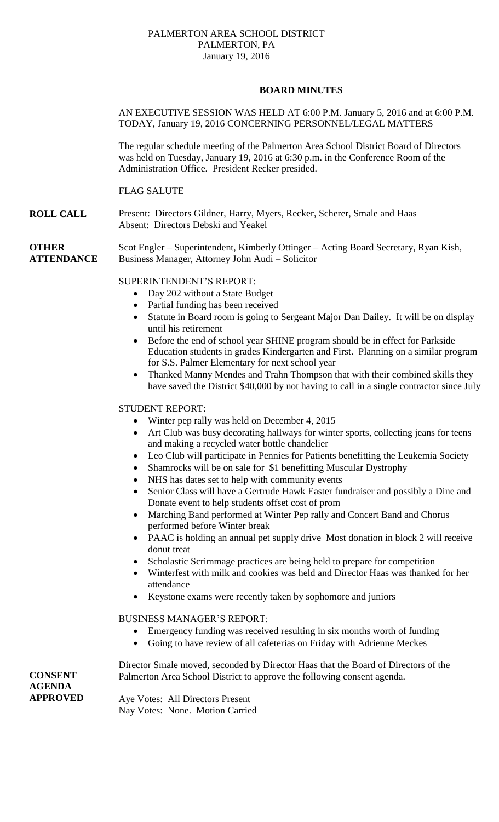## PALMERTON AREA SCHOOL DISTRICT PALMERTON, PA January 19, 2016

# **BOARD MINUTES**

# AN EXECUTIVE SESSION WAS HELD AT 6:00 P.M. January 5, 2016 and at 6:00 P.M. TODAY, January 19, 2016 CONCERNING PERSONNEL/LEGAL MATTERS

The regular schedule meeting of the Palmerton Area School District Board of Directors was held on Tuesday, January 19, 2016 at 6:30 p.m. in the Conference Room of the Administration Office. President Recker presided.

## FLAG SALUTE

**ROLL CALL** Present: Directors Gildner, Harry, Myers, Recker, Scherer, Smale and Haas Absent: Directors Debski and Yeakel

**OTHER ATTENDANCE** Scot Engler – Superintendent, Kimberly Ottinger – Acting Board Secretary, Ryan Kish, Business Manager, Attorney John Audi – Solicitor

## SUPERINTENDENT'S REPORT:

- Day 202 without a State Budget
- Partial funding has been received
- Statute in Board room is going to Sergeant Major Dan Dailey. It will be on display until his retirement
- Before the end of school year SHINE program should be in effect for Parkside Education students in grades Kindergarten and First. Planning on a similar program for S.S. Palmer Elementary for next school year
- Thanked Manny Mendes and Trahn Thompson that with their combined skills they have saved the District \$40,000 by not having to call in a single contractor since July

# STUDENT REPORT:

- Winter pep rally was held on December 4, 2015
- Art Club was busy decorating hallways for winter sports, collecting jeans for teens and making a recycled water bottle chandelier
- Leo Club will participate in Pennies for Patients benefitting the Leukemia Society
- Shamrocks will be on sale for \$1 benefitting Muscular Dystrophy
- NHS has dates set to help with community events
- Senior Class will have a Gertrude Hawk Easter fundraiser and possibly a Dine and Donate event to help students offset cost of prom
- Marching Band performed at Winter Pep rally and Concert Band and Chorus performed before Winter break
- PAAC is holding an annual pet supply drive Most donation in block 2 will receive donut treat
- Scholastic Scrimmage practices are being held to prepare for competition
- Winterfest with milk and cookies was held and Director Haas was thanked for her attendance
- Keystone exams were recently taken by sophomore and juniors

#### BUSINESS MANAGER'S REPORT:

- Emergency funding was received resulting in six months worth of funding
- Going to have review of all cafeterias on Friday with Adrienne Meckes

Director Smale moved, seconded by Director Haas that the Board of Directors of the Palmerton Area School District to approve the following consent agenda.

Aye Votes: All Directors Present Nay Votes: None. Motion Carried

**CONSENT AGENDA APPROVED**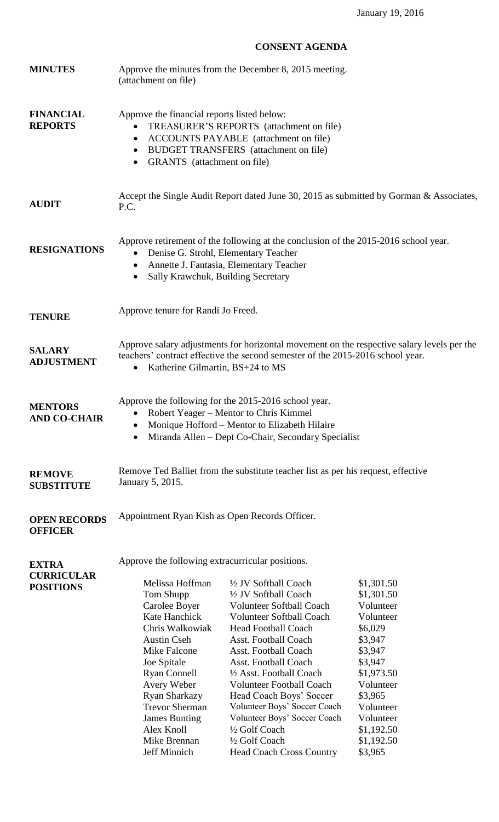# **CONSENT AGENDA**

| <b>MINUTES</b>                                        | Approve the minutes from the December 8, 2015 meeting.<br>(attachment on file)                                                                                                                                                                                                               |                                                                                                                                                                                                                                                                                                                                                                                                                                                             |                                                                                                                                                                                                       |  |
|-------------------------------------------------------|----------------------------------------------------------------------------------------------------------------------------------------------------------------------------------------------------------------------------------------------------------------------------------------------|-------------------------------------------------------------------------------------------------------------------------------------------------------------------------------------------------------------------------------------------------------------------------------------------------------------------------------------------------------------------------------------------------------------------------------------------------------------|-------------------------------------------------------------------------------------------------------------------------------------------------------------------------------------------------------|--|
| <b>FINANCIAL</b><br><b>REPORTS</b>                    | Approve the financial reports listed below:<br>TREASURER'S REPORTS (attachment on file)<br>ACCOUNTS PAYABLE (attachment on file)<br>$\bullet$<br>BUDGET TRANSFERS (attachment on file)<br>$\bullet$<br>GRANTS (attachment on file)<br>$\bullet$                                              |                                                                                                                                                                                                                                                                                                                                                                                                                                                             |                                                                                                                                                                                                       |  |
| <b>AUDIT</b>                                          | Accept the Single Audit Report dated June 30, 2015 as submitted by Gorman & Associates,<br>P.C.                                                                                                                                                                                              |                                                                                                                                                                                                                                                                                                                                                                                                                                                             |                                                                                                                                                                                                       |  |
| <b>RESIGNATIONS</b>                                   | Approve retirement of the following at the conclusion of the 2015-2016 school year.<br>Denise G. Strohl, Elementary Teacher<br>$\bullet$<br>Annette J. Fantasia, Elementary Teacher<br>$\bullet$<br>Sally Krawchuk, Building Secretary<br>$\bullet$                                          |                                                                                                                                                                                                                                                                                                                                                                                                                                                             |                                                                                                                                                                                                       |  |
| <b>TENURE</b>                                         | Approve tenure for Randi Jo Freed.                                                                                                                                                                                                                                                           |                                                                                                                                                                                                                                                                                                                                                                                                                                                             |                                                                                                                                                                                                       |  |
| <b>SALARY</b><br><b>ADJUSTMENT</b>                    | Approve salary adjustments for horizontal movement on the respective salary levels per the<br>teachers' contract effective the second semester of the 2015-2016 school year.<br>Katherine Gilmartin, BS+24 to MS                                                                             |                                                                                                                                                                                                                                                                                                                                                                                                                                                             |                                                                                                                                                                                                       |  |
| <b>MENTORS</b><br><b>AND CO-CHAIR</b>                 | Approve the following for the 2015-2016 school year.<br>Robert Yeager – Mentor to Chris Kimmel<br>Monique Hofford – Mentor to Elizabeth Hilaire<br>Miranda Allen – Dept Co-Chair, Secondary Specialist                                                                                       |                                                                                                                                                                                                                                                                                                                                                                                                                                                             |                                                                                                                                                                                                       |  |
| <b>REMOVE</b><br><b>SUBSTITUTE</b>                    | Remove Ted Balliet from the substitute teacher list as per his request, effective<br>January 5, 2015.                                                                                                                                                                                        |                                                                                                                                                                                                                                                                                                                                                                                                                                                             |                                                                                                                                                                                                       |  |
| <b>OPEN RECORDS</b><br><b>OFFICER</b>                 | Appointment Ryan Kish as Open Records Officer.                                                                                                                                                                                                                                               |                                                                                                                                                                                                                                                                                                                                                                                                                                                             |                                                                                                                                                                                                       |  |
|                                                       | Approve the following extracurricular positions.                                                                                                                                                                                                                                             |                                                                                                                                                                                                                                                                                                                                                                                                                                                             |                                                                                                                                                                                                       |  |
| <b>EXTRA</b><br><b>CURRICULAR</b><br><b>POSITIONS</b> | Melissa Hoffman<br>Tom Shupp<br>Carolee Boyer<br>Kate Hanchick<br>Chris Walkowiak<br><b>Austin Cseh</b><br>Mike Falcone<br>Joe Spitale<br><b>Ryan Connell</b><br>Avery Weber<br>Ryan Sharkazy<br><b>Trevor Sherman</b><br><b>James Bunting</b><br>Alex Knoll<br>Mike Brennan<br>Jeff Minnich | 1/2 JV Softball Coach<br>1/2 JV Softball Coach<br><b>Volunteer Softball Coach</b><br><b>Volunteer Softball Coach</b><br><b>Head Football Coach</b><br>Asst. Football Coach<br>Asst. Football Coach<br>Asst. Football Coach<br>1/2 Asst. Football Coach<br><b>Volunteer Football Coach</b><br>Head Coach Boys' Soccer<br>Volunteer Boys' Soccer Coach<br>Volunteer Boys' Soccer Coach<br>1/2 Golf Coach<br>1/2 Golf Coach<br><b>Head Coach Cross Country</b> | \$1,301.50<br>\$1,301.50<br>Volunteer<br>Volunteer<br>\$6,029<br>\$3,947<br>\$3,947<br>\$3,947<br>\$1,973.50<br>Volunteer<br>\$3,965<br>Volunteer<br>Volunteer<br>\$1,192.50<br>\$1,192.50<br>\$3,965 |  |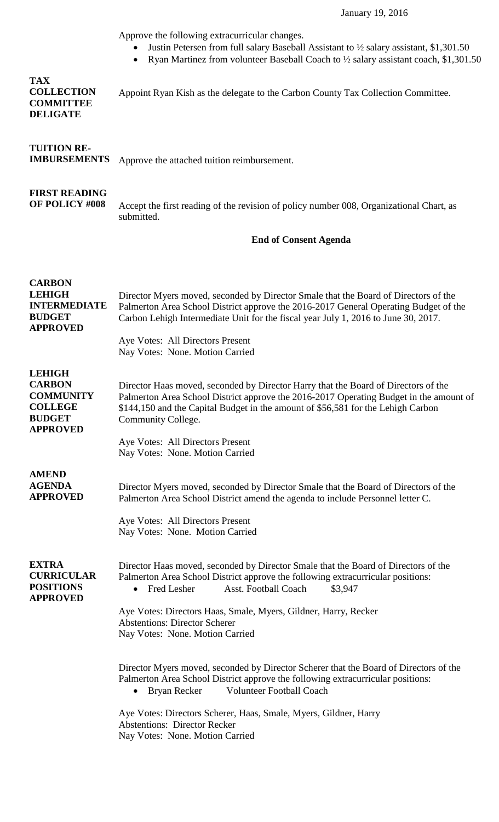Approve the following extracurricular changes.

- Justin Petersen from full salary Baseball Assistant to ½ salary assistant, \$1,301.50
- Ryan Martinez from volunteer Baseball Coach to ½ salary assistant coach, \$1,301.50

| <b>TAX</b><br><b>COLLECTION</b><br><b>COMMITTEE</b><br><b>DELIGATE</b>                                   | Appoint Ryan Kish as the delegate to the Carbon County Tax Collection Committee.                                                                                                                                                                                                                                                                                      |  |  |  |
|----------------------------------------------------------------------------------------------------------|-----------------------------------------------------------------------------------------------------------------------------------------------------------------------------------------------------------------------------------------------------------------------------------------------------------------------------------------------------------------------|--|--|--|
| <b>TUITION RE-</b><br><b>IMBURSEMENTS</b>                                                                | Approve the attached tuition reimbursement.                                                                                                                                                                                                                                                                                                                           |  |  |  |
| <b>FIRST READING</b><br>OF POLICY #008                                                                   | Accept the first reading of the revision of policy number 008, Organizational Chart, as<br>submitted.                                                                                                                                                                                                                                                                 |  |  |  |
|                                                                                                          | <b>End of Consent Agenda</b>                                                                                                                                                                                                                                                                                                                                          |  |  |  |
| <b>CARBON</b><br><b>LEHIGH</b><br><b>INTERMEDIATE</b><br><b>BUDGET</b><br><b>APPROVED</b>                | Director Myers moved, seconded by Director Smale that the Board of Directors of the<br>Palmerton Area School District approve the 2016-2017 General Operating Budget of the<br>Carbon Lehigh Intermediate Unit for the fiscal year July 1, 2016 to June 30, 2017.<br>Aye Votes: All Directors Present                                                                 |  |  |  |
|                                                                                                          | Nay Votes: None. Motion Carried                                                                                                                                                                                                                                                                                                                                       |  |  |  |
| <b>LEHIGH</b><br><b>CARBON</b><br><b>COMMUNITY</b><br><b>COLLEGE</b><br><b>BUDGET</b><br><b>APPROVED</b> | Director Haas moved, seconded by Director Harry that the Board of Directors of the<br>Palmerton Area School District approve the 2016-2017 Operating Budget in the amount of<br>\$144,150 and the Capital Budget in the amount of \$56,581 for the Lehigh Carbon<br>Community College.                                                                                |  |  |  |
|                                                                                                          | Aye Votes: All Directors Present<br>Nay Votes: None. Motion Carried                                                                                                                                                                                                                                                                                                   |  |  |  |
| <b>AMEND</b><br><b>AGENDA</b><br><b>APPROVED</b>                                                         | Director Myers moved, seconded by Director Smale that the Board of Directors of the<br>Palmerton Area School District amend the agenda to include Personnel letter C.<br>Aye Votes: All Directors Present<br>Nay Votes: None. Motion Carried                                                                                                                          |  |  |  |
| <b>EXTRA</b><br><b>CURRICULAR</b><br><b>POSITIONS</b><br><b>APPROVED</b>                                 | Director Haas moved, seconded by Director Smale that the Board of Directors of the<br>Palmerton Area School District approve the following extracurricular positions:<br>Fred Lesher<br>Asst. Football Coach<br>\$3,947<br>Aye Votes: Directors Haas, Smale, Myers, Gildner, Harry, Recker<br><b>Abstentions: Director Scherer</b><br>Nay Votes: None. Motion Carried |  |  |  |
|                                                                                                          | Director Myers moved, seconded by Director Scherer that the Board of Directors of the<br>Palmerton Area School District approve the following extracurricular positions:<br><b>Volunteer Football Coach</b><br>Bryan Recker<br>Aye Votes: Directors Scherer, Haas, Smale, Myers, Gildner, Harry<br><b>Abstentions: Director Recker</b>                                |  |  |  |
|                                                                                                          | Nay Votes: None. Motion Carried                                                                                                                                                                                                                                                                                                                                       |  |  |  |